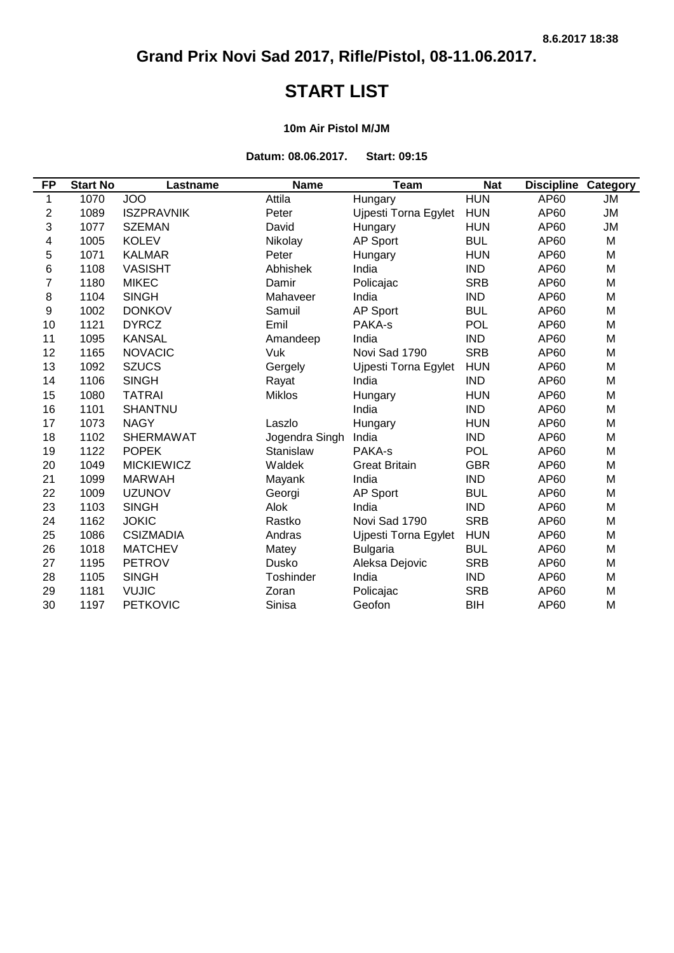### **START LIST**

#### **10m Air Pistol M/JM**

**Datum: 08.06.2017. Start: 09:15**

| <b>FP</b>        | <b>Start No</b> | Lastname          | <b>Name</b>    | <b>Team</b>          | <b>Nat</b> | <b>Discipline</b> | <b>Category</b> |
|------------------|-----------------|-------------------|----------------|----------------------|------------|-------------------|-----------------|
| 1                | 1070            | <b>JOO</b>        | Attila         | Hungary              | <b>HUN</b> | AP60              | <b>JM</b>       |
| $\boldsymbol{2}$ | 1089            | <b>ISZPRAVNIK</b> | Peter          | Ujpesti Torna Egylet | <b>HUN</b> | AP60              | <b>JM</b>       |
| 3                | 1077            | <b>SZEMAN</b>     | David          | Hungary              | <b>HUN</b> | AP60              | <b>JM</b>       |
| 4                | 1005            | <b>KOLEV</b>      | Nikolay        | <b>AP Sport</b>      | <b>BUL</b> | AP60              | M               |
| 5                | 1071            | <b>KALMAR</b>     | Peter          | Hungary              | <b>HUN</b> | AP60              | M               |
| 6                | 1108            | <b>VASISHT</b>    | Abhishek       | India                | <b>IND</b> | AP60              | M               |
| 7                | 1180            | <b>MIKEC</b>      | Damir          | Policajac            | <b>SRB</b> | AP60              | M               |
| 8                | 1104            | <b>SINGH</b>      | Mahaveer       | India                | <b>IND</b> | AP60              | M               |
| 9                | 1002            | <b>DONKOV</b>     | Samuil         | <b>AP Sport</b>      | <b>BUL</b> | AP60              | M               |
| 10               | 1121            | <b>DYRCZ</b>      | Emil           | PAKA-s               | <b>POL</b> | AP60              | M               |
| 11               | 1095            | <b>KANSAL</b>     | Amandeep       | India                | <b>IND</b> | AP60              | M               |
| 12               | 1165            | <b>NOVACIC</b>    | Vuk            | Novi Sad 1790        | <b>SRB</b> | AP60              | M               |
| 13               | 1092            | <b>SZUCS</b>      | Gergely        | Ujpesti Torna Egylet | <b>HUN</b> | AP60              | M               |
| 14               | 1106            | <b>SINGH</b>      | Rayat          | India                | <b>IND</b> | AP60              | M               |
| 15               | 1080            | <b>TATRAI</b>     | <b>Miklos</b>  | Hungary              | <b>HUN</b> | AP60              | M               |
| 16               | 1101            | <b>SHANTNU</b>    |                | India                | <b>IND</b> | AP60              | M               |
| 17               | 1073            | <b>NAGY</b>       | Laszlo         | Hungary              | <b>HUN</b> | AP60              | M               |
| 18               | 1102            | <b>SHERMAWAT</b>  | Jogendra Singh | India                | <b>IND</b> | AP60              | M               |
| 19               | 1122            | <b>POPEK</b>      | Stanislaw      | PAKA-s               | <b>POL</b> | AP60              | M               |
| 20               | 1049            | <b>MICKIEWICZ</b> | Waldek         | <b>Great Britain</b> | <b>GBR</b> | AP60              | M               |
| 21               | 1099            | <b>MARWAH</b>     | Mayank         | India                | <b>IND</b> | AP60              | M               |
| 22               | 1009            | <b>UZUNOV</b>     | Georgi         | <b>AP Sport</b>      | <b>BUL</b> | AP60              | M               |
| 23               | 1103            | <b>SINGH</b>      | Alok           | India                | <b>IND</b> | AP60              | M               |
| 24               | 1162            | <b>JOKIC</b>      | Rastko         | Novi Sad 1790        | <b>SRB</b> | AP60              | M               |
| 25               | 1086            | <b>CSIZMADIA</b>  | Andras         | Ujpesti Torna Egylet | <b>HUN</b> | AP60              | M               |
| 26               | 1018            | <b>MATCHEV</b>    | Matey          | <b>Bulgaria</b>      | <b>BUL</b> | AP60              | M               |
| 27               | 1195            | <b>PETROV</b>     | Dusko          | Aleksa Dejovic       | <b>SRB</b> | AP60              | M               |
| 28               | 1105            | <b>SINGH</b>      | Toshinder      | India                | <b>IND</b> | AP60              | M               |
| 29               | 1181            | <b>VUJIC</b>      | Zoran          | Policajac            | <b>SRB</b> | AP60              | M               |
| 30               | 1197            | <b>PETKOVIC</b>   | Sinisa         | Geofon               | <b>BIH</b> | AP60              | M               |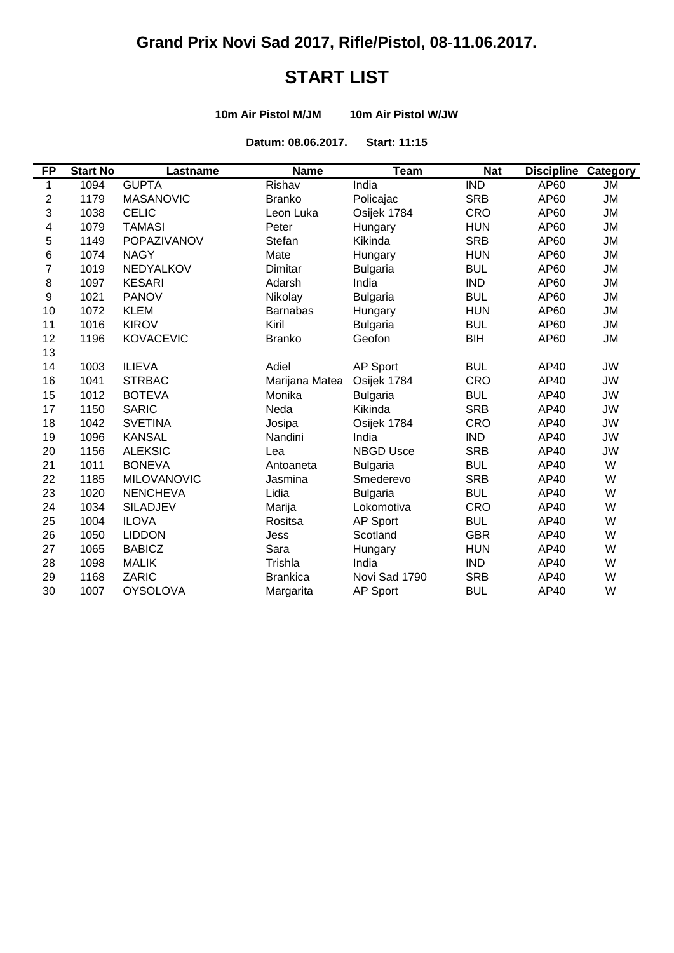# **START LIST**

**10m Air Pistol M/JM 10m Air Pistol W/JW**

**Datum: 08.06.2017. Start: 11:15**

| <b>FP</b>      | <b>Start No</b> | Lastname           | <b>Name</b>     | <b>Team</b>      | <b>Nat</b> | <b>Discipline Category</b> |           |
|----------------|-----------------|--------------------|-----------------|------------------|------------|----------------------------|-----------|
| 1              | 1094            | <b>GUPTA</b>       | Rishav          | India            | <b>IND</b> | AP60                       | JМ        |
| $\overline{2}$ | 1179            | <b>MASANOVIC</b>   | <b>Branko</b>   | Policajac        | <b>SRB</b> | AP60                       | ЛU        |
| 3              | 1038            | <b>CELIC</b>       | Leon Luka       | Osijek 1784      | <b>CRO</b> | AP60                       | JM        |
| 4              | 1079            | <b>TAMASI</b>      | Peter           | Hungary          | <b>HUN</b> | AP60                       | <b>JM</b> |
| 5              | 1149            | POPAZIVANOV        | Stefan          | Kikinda          | <b>SRB</b> | AP60                       | ЛU        |
| 6              | 1074            | <b>NAGY</b>        | Mate            | Hungary          | <b>HUN</b> | AP60                       | ЛU        |
| 7              | 1019            | <b>NEDYALKOV</b>   | Dimitar         | <b>Bulgaria</b>  | <b>BUL</b> | AP60                       | <b>JM</b> |
| $\bf 8$        | 1097            | <b>KESARI</b>      | Adarsh          | India            | <b>IND</b> | AP60                       | <b>JM</b> |
| 9              | 1021            | <b>PANOV</b>       | Nikolay         | <b>Bulgaria</b>  | <b>BUL</b> | AP60                       | <b>JM</b> |
| 10             | 1072            | <b>KLEM</b>        | <b>Barnabas</b> | Hungary          | <b>HUN</b> | AP60                       | <b>JM</b> |
| 11             | 1016            | <b>KIROV</b>       | Kiril           | <b>Bulgaria</b>  | <b>BUL</b> | AP60                       | JM        |
| 12             | 1196            | <b>KOVACEVIC</b>   | <b>Branko</b>   | Geofon           | BIH        | AP60                       | ЛU        |
| 13             |                 |                    |                 |                  |            |                            |           |
| 14             | 1003            | <b>ILIEVA</b>      | Adiel           | AP Sport         | <b>BUL</b> | AP40                       | <b>JW</b> |
| 16             | 1041            | <b>STRBAC</b>      | Marijana Matea  | Osijek 1784      | <b>CRO</b> | AP40                       | <b>JW</b> |
| 15             | 1012            | <b>BOTEVA</b>      | Monika          | <b>Bulgaria</b>  | <b>BUL</b> | AP40                       | <b>JW</b> |
| 17             | 1150            | <b>SARIC</b>       | Neda            | Kikinda          | <b>SRB</b> | AP40                       | <b>JW</b> |
| 18             | 1042            | <b>SVETINA</b>     | Josipa          | Osijek 1784      | <b>CRO</b> | AP40                       | JW        |
| 19             | 1096            | <b>KANSAL</b>      | Nandini         | India            | <b>IND</b> | AP40                       | JW        |
| 20             | 1156            | <b>ALEKSIC</b>     | Lea             | <b>NBGD Usce</b> | <b>SRB</b> | AP40                       | <b>JW</b> |
| 21             | 1011            | <b>BONEVA</b>      | Antoaneta       | <b>Bulgaria</b>  | <b>BUL</b> | AP40                       | W         |
| 22             | 1185            | <b>MILOVANOVIC</b> | Jasmina         | Smederevo        | <b>SRB</b> | AP40                       | W         |
| 23             | 1020            | <b>NENCHEVA</b>    | Lidia           | <b>Bulgaria</b>  | <b>BUL</b> | AP40                       | W         |
| 24             | 1034            | <b>SILADJEV</b>    | Marija          | Lokomotiva       | CRO        | AP40                       | W         |
| 25             | 1004            | <b>ILOVA</b>       | Rositsa         | <b>AP Sport</b>  | <b>BUL</b> | AP40                       | W         |
| 26             | 1050            | <b>LIDDON</b>      | Jess            | Scotland         | <b>GBR</b> | AP40                       | W         |
| 27             | 1065            | <b>BABICZ</b>      | Sara            | Hungary          | <b>HUN</b> | AP40                       | W         |
| 28             | 1098            | <b>MALIK</b>       | Trishla         | India            | <b>IND</b> | AP40                       | W         |
| 29             | 1168            | ZARIC              | <b>Brankica</b> | Novi Sad 1790    | <b>SRB</b> | AP40                       | W         |
| 30             | 1007            | <b>OYSOLOVA</b>    | Margarita       | <b>AP Sport</b>  | <b>BUL</b> | AP40                       | W         |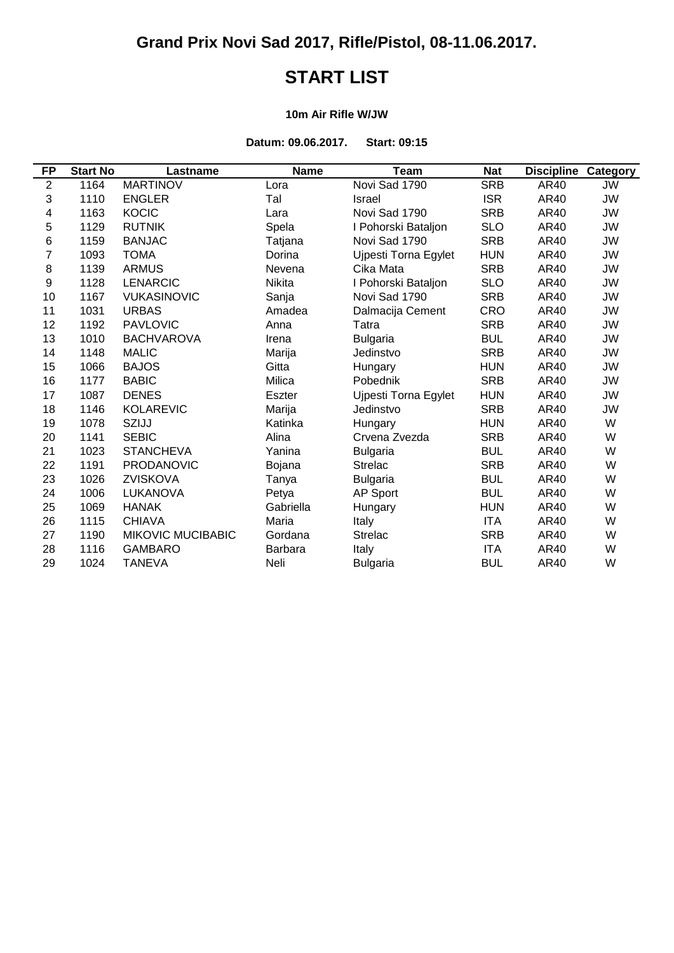# **START LIST**

#### **10m Air Rifle W/JW**

**Datum: 09.06.2017. Start: 09:15**

| FP               | <b>Start No</b> | Lastname                 | <b>Name</b>    | Team                 | <b>Nat</b> | <b>Discipline Category</b> |           |
|------------------|-----------------|--------------------------|----------------|----------------------|------------|----------------------------|-----------|
| $\overline{2}$   | 1164            | <b>MARTINOV</b>          | Lora           | Novi Sad 1790        | <b>SRB</b> | AR40                       | JW        |
| 3                | 1110            | <b>ENGLER</b>            | Tal            | Israel               | <b>ISR</b> | AR40                       | <b>JW</b> |
| 4                | 1163            | <b>KOCIC</b>             | Lara           | Novi Sad 1790        | <b>SRB</b> | AR40                       | JW        |
| 5                | 1129            | <b>RUTNIK</b>            | Spela          | I Pohorski Bataljon  | <b>SLO</b> | AR40                       | <b>JW</b> |
| $\,6$            | 1159            | <b>BANJAC</b>            | Tatjana        | Novi Sad 1790        | <b>SRB</b> | AR40                       | <b>JW</b> |
| 7                | 1093            | <b>TOMA</b>              | Dorina         | Ujpesti Torna Egylet | <b>HUN</b> | AR40                       | <b>JW</b> |
| 8                | 1139            | <b>ARMUS</b>             | Nevena         | Cika Mata            | <b>SRB</b> | AR40                       | JW        |
| $\boldsymbol{9}$ | 1128            | <b>LENARCIC</b>          | <b>Nikita</b>  | I Pohorski Bataljon  | <b>SLO</b> | AR40                       | <b>JW</b> |
| 10               | 1167            | <b>VUKASINOVIC</b>       | Sanja          | Novi Sad 1790        | <b>SRB</b> | AR40                       | JW        |
| 11               | 1031            | <b>URBAS</b>             | Amadea         | Dalmacija Cement     | <b>CRO</b> | AR40                       | <b>JW</b> |
| 12               | 1192            | <b>PAVLOVIC</b>          | Anna           | Tatra                | <b>SRB</b> | AR40                       | JW        |
| 13               | 1010            | <b>BACHVAROVA</b>        | Irena          | <b>Bulgaria</b>      | <b>BUL</b> | AR40                       | <b>JW</b> |
| 14               | 1148            | <b>MALIC</b>             | Marija         | Jedinstvo            | <b>SRB</b> | AR40                       | JW        |
| 15               | 1066            | <b>BAJOS</b>             | Gitta          | Hungary              | <b>HUN</b> | AR40                       | <b>JW</b> |
| 16               | 1177            | <b>BABIC</b>             | Milica         | Pobednik             | <b>SRB</b> | AR40                       | JW        |
| 17               | 1087            | <b>DENES</b>             | <b>Eszter</b>  | Ujpesti Torna Egylet | <b>HUN</b> | AR40                       | <b>JW</b> |
| 18               | 1146            | <b>KOLAREVIC</b>         | Marija         | Jedinstvo            | <b>SRB</b> | AR40                       | JW        |
| 19               | 1078            | SZIJJ                    | Katinka        | Hungary              | <b>HUN</b> | AR40                       | W         |
| 20               | 1141            | <b>SEBIC</b>             | Alina          | Crvena Zvezda        | <b>SRB</b> | AR40                       | W         |
| 21               | 1023            | <b>STANCHEVA</b>         | Yanina         | <b>Bulgaria</b>      | <b>BUL</b> | AR40                       | W         |
| 22               | 1191            | <b>PRODANOVIC</b>        | Bojana         | <b>Strelac</b>       | <b>SRB</b> | AR40                       | W         |
| 23               | 1026            | <b>ZVISKOVA</b>          | Tanya          | <b>Bulgaria</b>      | <b>BUL</b> | AR40                       | W         |
| 24               | 1006            | LUKANOVA                 | Petya          | AP Sport             | <b>BUL</b> | AR40                       | W         |
| 25               | 1069            | <b>HANAK</b>             | Gabriella      | Hungary              | <b>HUN</b> | AR40                       | W         |
| 26               | 1115            | <b>CHIAVA</b>            | Maria          | Italy                | <b>ITA</b> | AR40                       | W         |
| 27               | 1190            | <b>MIKOVIC MUCIBABIC</b> | Gordana        | <b>Strelac</b>       | <b>SRB</b> | AR40                       | W         |
| 28               | 1116            | <b>GAMBARO</b>           | <b>Barbara</b> | Italy                | <b>ITA</b> | AR40                       | W         |
| 29               | 1024            | <b>TANEVA</b>            | Neli           | <b>Bulgaria</b>      | <b>BUL</b> | AR40                       | W         |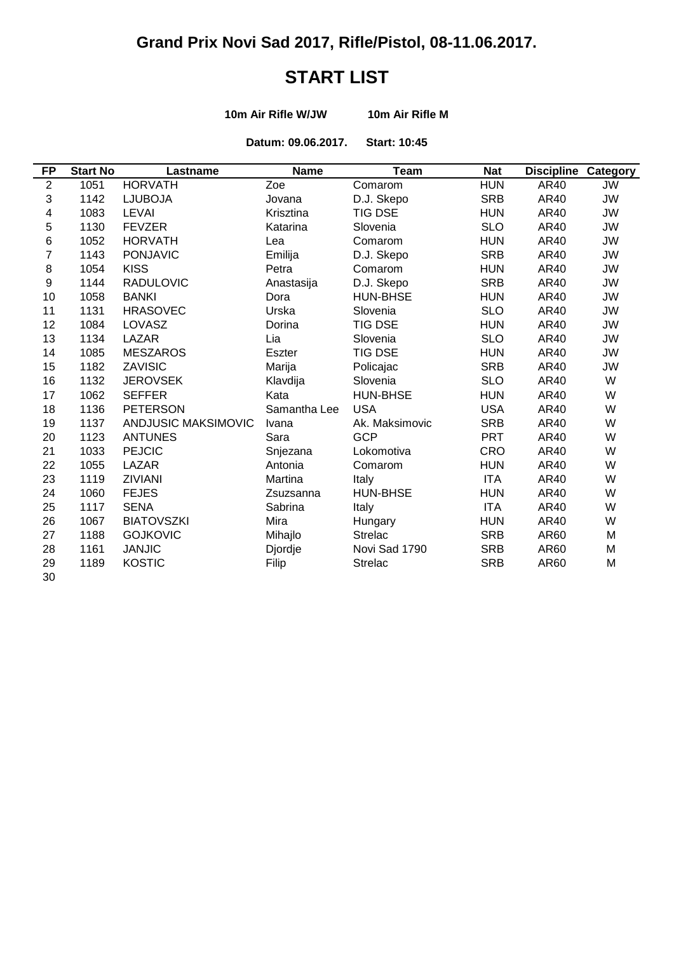# **START LIST**

**10m Air Rifle W/JW 10m Air Rifle M**

**Datum: 09.06.2017. Start: 10:45**

| <b>FP</b>  | <b>Start No</b> | Lastname            | <b>Name</b>  | <b>Team</b>     | <b>Nat</b> | <b>Discipline</b> | Category  |
|------------|-----------------|---------------------|--------------|-----------------|------------|-------------------|-----------|
| $\sqrt{2}$ | 1051            | <b>HORVATH</b>      | Zoe          | Comarom         | <b>HUN</b> | AR40              | JW        |
| 3          | 1142            | <b>LJUBOJA</b>      | Jovana       | D.J. Skepo      | <b>SRB</b> | AR40              | JW        |
| 4          | 1083            | <b>LEVAI</b>        | Krisztina    | <b>TIG DSE</b>  | <b>HUN</b> | AR40              | JW        |
| 5          | 1130            | <b>FEVZER</b>       | Katarina     | Slovenia        | <b>SLO</b> | AR40              | JW        |
| 6          | 1052            | <b>HORVATH</b>      | Lea          | Comarom         | <b>HUN</b> | AR40              | JW        |
| 7          | 1143            | <b>PONJAVIC</b>     | Emilija      | D.J. Skepo      | <b>SRB</b> | AR40              | JW        |
| $\,8\,$    | 1054            | <b>KISS</b>         | Petra        | Comarom         | <b>HUN</b> | AR40              | JW        |
| $9\,$      | 1144            | <b>RADULOVIC</b>    | Anastasija   | D.J. Skepo      | <b>SRB</b> | AR40              | JW        |
| 10         | 1058            | <b>BANKI</b>        | Dora         | <b>HUN-BHSE</b> | <b>HUN</b> | AR40              | JW        |
| 11         | 1131            | <b>HRASOVEC</b>     | Urska        | Slovenia        | <b>SLO</b> | AR40              | JW        |
| 12         | 1084            | LOVASZ              | Dorina       | <b>TIG DSE</b>  | <b>HUN</b> | AR40              | JW        |
| 13         | 1134            | <b>LAZAR</b>        | Lia          | Slovenia        | <b>SLO</b> | AR40              | JW        |
| 14         | 1085            | <b>MESZAROS</b>     | Eszter       | <b>TIG DSE</b>  | <b>HUN</b> | AR40              | JW        |
| 15         | 1182            | ZAVISIC             | Marija       | Policajac       | <b>SRB</b> | AR40              | <b>JW</b> |
| 16         | 1132            | <b>JEROVSEK</b>     | Klavdija     | Slovenia        | <b>SLO</b> | AR40              | W         |
| 17         | 1062            | <b>SEFFER</b>       | Kata         | HUN-BHSE        | <b>HUN</b> | AR40              | W         |
| 18         | 1136            | <b>PETERSON</b>     | Samantha Lee | <b>USA</b>      | <b>USA</b> | AR40              | W         |
| 19         | 1137            | ANDJUSIC MAKSIMOVIC | Ivana        | Ak. Maksimovic  | <b>SRB</b> | AR40              | W         |
| 20         | 1123            | <b>ANTUNES</b>      | Sara         | <b>GCP</b>      | <b>PRT</b> | AR40              | W         |
| 21         | 1033            | <b>PEJCIC</b>       | Snjezana     | Lokomotiva      | <b>CRO</b> | AR40              | W         |
| 22         | 1055            | LAZAR               | Antonia      | Comarom         | <b>HUN</b> | AR40              | W         |
| 23         | 1119            | <b>ZIVIANI</b>      | Martina      | Italy           | <b>ITA</b> | AR40              | W         |
| 24         | 1060            | <b>FEJES</b>        | Zsuzsanna    | <b>HUN-BHSE</b> | <b>HUN</b> | AR40              | W         |
| 25         | 1117            | <b>SENA</b>         | Sabrina      | Italy           | <b>ITA</b> | AR40              | W         |
| 26         | 1067            | <b>BIATOVSZKI</b>   | Mira         | Hungary         | <b>HUN</b> | AR40              | W         |
| 27         | 1188            | <b>GOJKOVIC</b>     | Mihajlo      | <b>Strelac</b>  | <b>SRB</b> | AR60              | M         |
| 28         | 1161            | <b>JANJIC</b>       | Djordje      | Novi Sad 1790   | <b>SRB</b> | AR60              | M         |
| 29         | 1189            | <b>KOSTIC</b>       | Filip        | <b>Strelac</b>  | <b>SRB</b> | AR60              | M         |
| 30         |                 |                     |              |                 |            |                   |           |